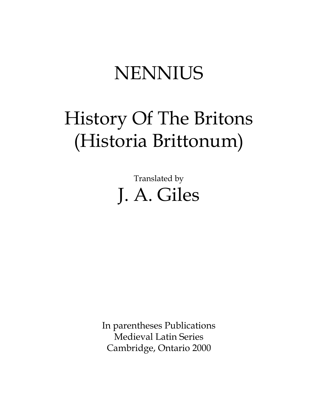# **NENNIUS**

# History Of The Britons (Historia Brittonum)

Translated by J. A. Giles

In parentheses Publications Medieval Latin Series Cambridge, Ontario 2000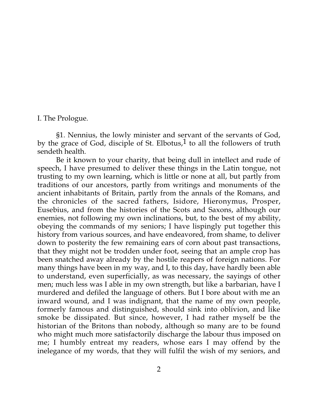I. The Prologue.

§1. Nennius, the lowly minister and servant of the servants of God, by the grace of God, disciple of St. Elbotus, $1$  to all the followers of truth sendeth health.

Be it known to your charity, that being dull in intellect and rude of speech, I have presumed to deliver these things in the Latin tongue, not trusting to my own learning, which is little or none at all, but partly from traditions of our ancestors, partly from writings and monuments of the ancient inhabitants of Britain, partly from the annals of the Romans, and the chronicles of the sacred fathers, Isidore, Hieronymus, Prosper, Eusebius, and from the histories of the Scots and Saxons, although our enemies, not following my own inclinations, but, to the best of my ability, obeying the commands of my seniors; I have lispingly put together this history from various sources, and have endeavored, from shame, to deliver down to posterity the few remaining ears of corn about past transactions, that they might not be trodden under foot, seeing that an ample crop has been snatched away already by the hostile reapers of foreign nations. For many things have been in my way, and I, to this day, have hardly been able to understand, even superficially, as was necessary, the sayings of other men; much less was I able in my own strength, but like a barbarian, have I murdered and defiled the language of others. But I bore about with me an inward wound, and I was indignant, that the name of my own people, formerly famous and distinguished, should sink into oblivion, and like smoke be dissipated. But since, however, I had rather myself be the historian of the Britons than nobody, although so many are to be found who might much more satisfactorily discharge the labour thus imposed on me; I humbly entreat my readers, whose ears I may offend by the inelegance of my words, that they will fulfil the wish of my seniors, and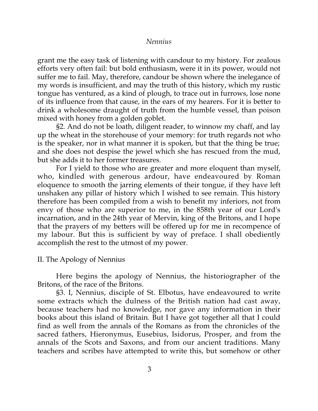grant me the easy task of listening with candour to my history. For zealous efforts very often fail: but bold enthusiasm, were it in its power, would not suffer me to fail. May, therefore, candour be shown where the inelegance of my words is insufficient, and may the truth of this history, which my rustic tongue has ventured, as a kind of plough, to trace out in furrows, lose none of its influence from that cause, in the ears of my hearers. For it is better to drink a wholesome draught of truth from the humble vessel, than poison mixed with honey from a golden goblet.

§2. And do not be loath, diligent reader, to winnow my chaff, and lay up the wheat in the storehouse of your memory: for truth regards not who is the speaker, nor in what manner it is spoken, but that the thing be true; and she does not despise the jewel which she has rescued from the mud, but she adds it to her former treasures.

For I yield to those who are greater and more eloquent than myself, who, kindled with generous ardour, have endeavoured by Roman eloquence to smooth the jarring elements of their tongue, if they have left unshaken any pillar of history which I wished to see remain. This history therefore has been compiled from a wish to benefit my inferiors, not from envy of those who are superior to me, in the 858th year of our Lord's incarnation, and in the 24th year of Mervin, king of the Britons, and I hope that the prayers of my betters will be offered up for me in recompence of my labour. But this is sufficient by way of preface. I shall obediently accomplish the rest to the utmost of my power.

## II. The Apology of Nennius

Here begins the apology of Nennius, the historiographer of the Britons, of the race of the Britons.

§3. I, Nennius, disciple of St. Elbotus, have endeavoured to write some extracts which the dulness of the British nation had cast away, because teachers had no knowledge, nor gave any information in their books about this island of Britain. But I have got together all that I could find as well from the annals of the Romans as from the chronicles of the sacred fathers, Hieronymus, Eusebius, Isidorus, Prosper, and from the annals of the Scots and Saxons, and from our ancient traditions. Many teachers and scribes have attempted to write this, but somehow or other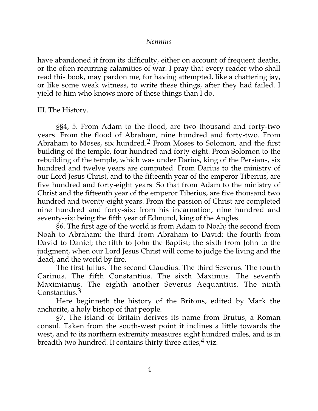have abandoned it from its difficulty, either on account of frequent deaths, or the often recurring calamities of war. I pray that every reader who shall read this book, may pardon me, for having attempted, like a chattering jay, or like some weak witness, to write these things, after they had failed. I yield to him who knows more of these things than I do.

III. The History.

§§4, 5. From Adam to the flood, are two thousand and forty-two years. From the flood of Abraham, nine hundred and forty-two. From Abraham to Moses, six hundred.2 From Moses to Solomon, and the first building of the temple, four hundred and forty-eight. From Solomon to the rebuilding of the temple, which was under Darius, king of the Persians, six hundred and twelve years are computed. From Darius to the ministry of our Lord Jesus Christ, and to the fifteenth year of the emperor Tiberius, are five hundred and forty-eight years. So that from Adam to the ministry of Christ and the fifteenth year of the emperor Tiberius, are five thousand two hundred and twenty-eight years. From the passion of Christ are completed nine hundred and forty-six; from his incarnation, nine hundred and seventy-six: being the fifth year of Edmund, king of the Angles.

§6. The first age of the world is from Adam to Noah; the second from Noah to Abraham; the third from Abraham to David; the fourth from David to Daniel; the fifth to John the Baptist; the sixth from John to the judgment, when our Lord Jesus Christ will come to judge the living and the dead, and the world by fire.

The first Julius. The second Claudius. The third Severus. The fourth Carinus. The fifth Constantius. The sixth Maximus. The seventh Maximianus. The eighth another Severus Aequantius. The ninth Constantius.3

Here beginneth the history of the Britons, edited by Mark the anchorite, a holy bishop of that people.

§7. The island of Britain derives its name from Brutus, a Roman consul. Taken from the south-west point it inclines a little towards the west, and to its northern extremity measures eight hundred miles, and is in breadth two hundred. It contains thirty three cities,  $4$  viz.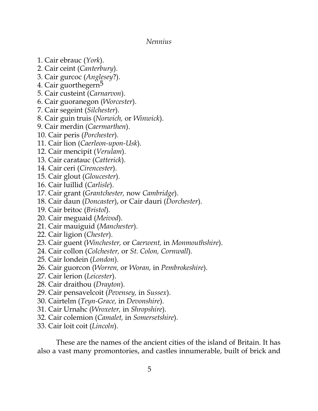- 1. Cair ebrauc (*York*).
- 2. Cair ceint (*Canterbury*).
- 3. Cair gurcoc (*Anglesey*?).
- 4. Cair guorthegern<sup>5</sup>
- 5. Cair custeint (*Carnarvon*).
- 6. Cair guoranegon (*Worcester*).
- 7. Cair segeint (*Silchester*).
- 8. Cair guin truis (*Norwich,* or *Winwick*).
- 9. Cair merdin (*Caermarthen*).
- 10. Cair peris (*Porchester*).
- 11. Cair lion (*Caerleon-upon-Usk*).
- 12. Cair mencipit (*Verulam*).
- 13. Cair caratauc (*Catterick*).
- 14. Cair ceri (*Cirencester*).
- 15. Cair glout (*Gloucester*).
- 16. Cair luillid (*Carlisle*).
- 17. Cair grant (*Grantchester,* now *Cambridge*).
- 18. Cair daun (*Doncaster*), or Cair dauri (*Dorchester*).
- 19. Cair britoc (*Bristol*).
- 20. Cair meguaid (*Meivod*).
- 21. Cair mauiguid (*Manchester*).
- 22. Cair ligion (*Chester*).
- 23. Cair guent (*Winchester,* or *Caerwent,* in *Monmouthshire*).
- 24. Cair collon (*Colchester,* or *St. Colon, Cornwall*).
- 25. Cair londein (*London*).
- 26. Cair guorcon (*Worren,* or *Woran,* in *Pembrokeshire*).
- 27. Cair lerion (*Leicester*).
- 28. Cair draithou (*Drayton*).
- 29. Cair pensavelcoit (*Pevensey,* in *Sussex*).
- 30. Cairtelm (*Teyn-Grace,* in *Devonshire*).
- 31. Cair Urnahc (*Wroxeter,* in *Shropshire*).
- 32. Cair colemion (*Camalet,* in *Somersetshire*).
- 33. Cair loit coit (*Lincoln*).

These are the names of the ancient cities of the island of Britain. It has also a vast many promontories, and castles innumerable, built of brick and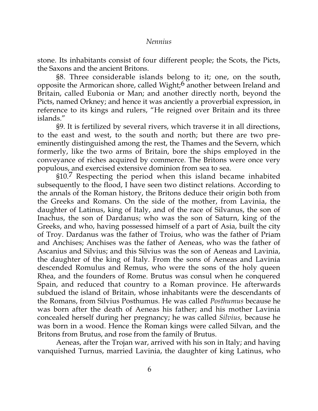stone. Its inhabitants consist of four different people; the Scots, the Picts, the Saxons and the ancient Britons.

§8. Three considerable islands belong to it; one, on the south, opposite the Armorican shore, called Wight;6 another between Ireland and Britain, called Eubonia or Man; and another directly north, beyond the Picts, named Orkney; and hence it was anciently a proverbial expression, in reference to its kings and rulers, "He reigned over Britain and its three islands."

§9. It is fertilized by several rivers, which traverse it in all directions, to the east and west, to the south and north; but there are two preeminently distinguished among the rest, the Thames and the Severn, which formerly, like the two arms of Britain, bore the ships employed in the conveyance of riches acquired by commerce. The Britons were once very populous, and exercised extensive dominion from sea to sea.

§10.7 Respecting the period when this island became inhabited subsequently to the flood, I have seen two distinct relations. According to the annals of the Roman history, the Britons deduce their origin both from the Greeks and Romans. On the side of the mother, from Lavinia, the daughter of Latinus, king of Italy, and of the race of Silvanus, the son of Inachus, the son of Dardanus; who was the son of Saturn, king of the Greeks, and who, having possessed himself of a part of Asia, built the city of Troy. Dardanus was the father of Troius, who was the father of Priam and Anchises; Anchises was the father of Aeneas, who was the father of Ascanius and Silvius; and this Silvius was the son of Aeneas and Lavinia, the daughter of the king of Italy. From the sons of Aeneas and Lavinia descended Romulus and Remus, who were the sons of the holy queen Rhea, and the founders of Rome. Brutus was consul when he conquered Spain, and reduced that country to a Roman province. He afterwards subdued the island of Britain, whose inhabitants were the descendants of the Romans, from Silvius Posthumus. He was called *Posthumus* because he was born after the death of Aeneas his father; and his mother Lavinia concealed herself during her pregnancy; he was called *Silvius,* because he was born in a wood. Hence the Roman kings were called Silvan, and the Britons from Brutus, and rose from the family of Brutus.

Aeneas, after the Trojan war, arrived with his son in Italy; and having vanquished Turnus, married Lavinia, the daughter of king Latinus, who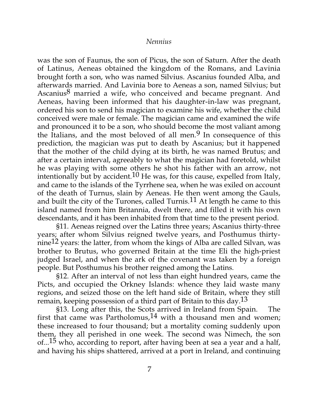was the son of Faunus, the son of Picus, the son of Saturn. After the death of Latinus, Aeneas obtained the kingdom of the Romans, and Lavinia brought forth a son, who was named Silvius. Ascanius founded Alba, and afterwards married. And Lavinia bore to Aeneas a son, named Silvius; but Ascanius $8$  married a wife, who conceived and became pregnant. And Aeneas, having been informed that his daughter-in-law was pregnant, ordered his son to send his magician to examine his wife, whether the child conceived were male or female. The magician came and examined the wife and pronounced it to be a son, who should become the most valiant among the Italians, and the most beloved of all men.<sup>9</sup> In consequence of this prediction, the magician was put to death by Ascanius; but it happened that the mother of the child dying at its birth, he was named Brutus; and after a certain interval, agreeably to what the magician had foretold, whilst he was playing with some others he shot his father with an arrow, not intentionally but by accident.<sup>10</sup> He was, for this cause, expelled from Italy, and came to the islands of the Tyrrhene sea, when he was exiled on account of the death of Turnus, slain by Aeneas. He then went among the Gauls, and built the city of the Turones, called Turnis.<sup>11</sup> At length he came to this island named from him Britannia, dwelt there, and filled it with his own descendants, and it has been inhabited from that time to the present period.

§11. Aeneas reigned over the Latins three years; Ascanius thirty-three years; after whom Silvius reigned twelve years, and Posthumus thirtynine<sup>12</sup> years: the latter, from whom the kings of Alba are called Silvan, was brother to Brutus, who governed Britain at the time Eli the high-priest judged Israel, and when the ark of the covenant was taken by a foreign people. But Posthumus his brother reigned among the Latins.

§12. After an interval of not less than eight hundred years, came the Picts, and occupied the Orkney Islands: whence they laid waste many regions, and seized those on the left hand side of Britain, where they still remain, keeping possession of a third part of Britain to this day.<sup>13</sup>

§13. Long after this, the Scots arrived in Ireland from Spain. The first that came was Partholomus,  $14$  with a thousand men and women; these increased to four thousand; but a mortality coming suddenly upon them, they all perished in one week. The second was Nimech, the son of...<sup>15</sup> who, according to report, after having been at sea a year and a half, and having his ships shattered, arrived at a port in Ireland, and continuing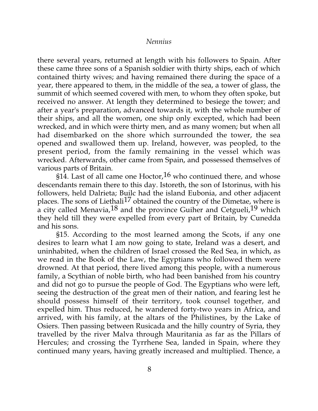there several years, returned at length with his followers to Spain. After these came three sons of a Spanish soldier with thirty ships, each of which contained thirty wives; and having remained there during the space of a year, there appeared to them, in the middle of the sea, a tower of glass, the summit of which seemed covered with men, to whom they often spoke, but received no answer. At length they determined to besiege the tower; and after a year's preparation, advanced towards it, with the whole number of their ships, and all the women, one ship only excepted, which had been wrecked, and in which were thirty men, and as many women; but when all had disembarked on the shore which surrounded the tower, the sea opened and swallowed them up. Ireland, however, was peopled, to the present period, from the family remaining in the vessel which was wrecked. Afterwards, other came from Spain, and possessed themselves of various parts of Britain.

§14. Last of all came one Hoctor,  $16$  who continued there, and whose descendants remain there to this day. Istoreth, the son of Istorinus, with his followers, held Dalrieta; Builc had the island Eubonia, and other adjacent places. The sons of Liethali<sup>17</sup> obtained the country of the Dimetae, where is a city called Menavia,  $18$  and the province Guiher and Cetgueli,  $19$  which they held till they were expelled from every part of Britain, by Cunedda and his sons.

§15. According to the most learned among the Scots, if any one desires to learn what I am now going to state, Ireland was a desert, and uninhabited, when the children of Israel crossed the Red Sea, in which, as we read in the Book of the Law, the Egyptians who followed them were drowned. At that period, there lived among this people, with a numerous family, a Scythian of noble birth, who had been banished from his country and did not go to pursue the people of God. The Egyptians who were left, seeing the destruction of the great men of their nation, and fearing lest he should possess himself of their territory, took counsel together, and expelled him. Thus reduced, he wandered forty-two years in Africa, and arrived, with his family, at the altars of the Philistines, by the Lake of Osiers. Then passing between Rusicada and the hilly country of Syria, they travelled by the river Malva through Mauritania as far as the Pillars of Hercules; and crossing the Tyrrhene Sea, landed in Spain, where they continued many years, having greatly increased and multiplied. Thence, a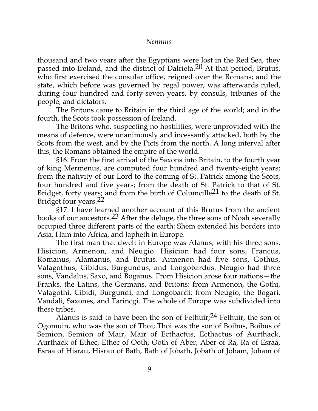thousand and two years after the Egyptians were lost in the Red Sea, they passed into Ireland, and the district of Dalrieta.<sup>20</sup> At that period, Brutus, who first exercised the consular office, reigned over the Romans; and the state, which before was governed by regal power, was afterwards ruled, during four hundred and forty-seven years, by consuls, tribunes of the people, and dictators.

The Britons came to Britain in the third age of the world; and in the fourth, the Scots took possession of Ireland.

The Britons who, suspecting no hostilities, were unprovided with the means of defence, were unanimously and incessantly attacked, both by the Scots from the west, and by the Picts from the north. A long interval after this, the Romans obtained the empire of the world.

§16. From the first arrival of the Saxons into Britain, to the fourth year of king Mermenus, are computed four hundred and twenty-eight years; from the nativity of our Lord to the coming of St. Patrick among the Scots, four hundred and five years; from the death of St. Patrick to that of St. Bridget, forty years; and from the birth of Columcille21 to the death of St. Bridget four years.22

§17. I have learned another account of this Brutus from the ancient books of our ancestors.23 After the deluge, the three sons of Noah severally occupied three different parts of the earth: Shem extended his borders into Asia, Ham into Africa, and Japheth in Europe.

The first man that dwelt in Europe was Alanus, with his three sons, Hisicion, Armenon, and Neugio. Hisicion had four sons, Francus, Romanus, Alamanus, and Brutus. Armenon had five sons, Gothus, Valagothus, Cibidus, Burgundus, and Longobardus. Neugio had three sons, Vandalus, Saxo, and Boganus. From Hisicion arose four nations—the Franks, the Latins, the Germans, and Britons: from Armenon, the Gothi, Valagothi, Cibidi, Burgundi, and Longobardi: from Neugio, the Bogari, Vandali, Saxones, and Tarincgi. The whole of Europe was subdivided into these tribes.

Alanus is said to have been the son of Fethuir;  $24$  Fethuir, the son of Ogomuin, who was the son of Thoi; Thoi was the son of Boibus, Boibus of Semion, Semion of Mair, Mair of Ecthactus, Ecthactus of Aurthack, Aurthack of Ethec, Ethec of Ooth, Ooth of Aber, Aber of Ra, Ra of Esraa, Esraa of Hisrau, Hisrau of Bath, Bath of Jobath, Jobath of Joham, Joham of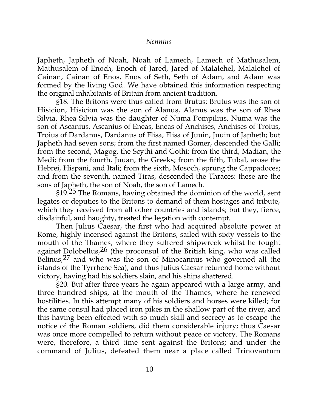Japheth, Japheth of Noah, Noah of Lamech, Lamech of Mathusalem, Mathusalem of Enoch, Enoch of Jared, Jared of Malalehel, Malalehel of Cainan, Cainan of Enos, Enos of Seth, Seth of Adam, and Adam was formed by the living God. We have obtained this information respecting the original inhabitants of Britain from ancient tradition.

§18. The Britons were thus called from Brutus: Brutus was the son of Hisicion, Hisicion was the son of Alanus, Alanus was the son of Rhea Silvia, Rhea Silvia was the daughter of Numa Pompilius, Numa was the son of Ascanius, Ascanius of Eneas, Eneas of Anchises, Anchises of Troius, Troius of Dardanus, Dardanus of Flisa, Flisa of Juuin, Juuin of Japheth; but Japheth had seven sons; from the first named Gomer, descended the Galli; from the second, Magog, the Scythi and Gothi; from the third, Madian, the Medi; from the fourth, Juuan, the Greeks; from the fifth, Tubal, arose the Hebrei, Hispani, and Itali; from the sixth, Mosoch, sprung the Cappadoces; and from the seventh, named Tiras, descended the Thraces: these are the sons of Japheth, the son of Noah, the son of Lamech.

§19.25 The Romans, having obtained the dominion of the world, sent legates or deputies to the Britons to demand of them hostages and tribute, which they received from all other countries and islands; but they, fierce, disdainful, and haughty, treated the legation with contempt.

Then Julius Caesar, the first who had acquired absolute power at Rome, highly incensed against the Britons, sailed with sixty vessels to the mouth of the Thames, where they suffered shipwreck whilst he fought against Dolobellus,  $26$  (the proconsul of the British king, who was called Belinus,27 and who was the son of Minocannus who governed all the islands of the Tyrrhene Sea), and thus Julius Caesar returned home without victory, having had his soldiers slain, and his ships shattered.

§20. But after three years he again appeared with a large army, and three hundred ships, at the mouth of the Thames, where he renewed hostilities. In this attempt many of his soldiers and horses were killed; for the same consul had placed iron pikes in the shallow part of the river, and this having been effected with so much skill and secrecy as to escape the notice of the Roman soldiers, did them considerable injury; thus Caesar was once more compelled to return without peace or victory. The Romans were, therefore, a third time sent against the Britons; and under the command of Julius, defeated them near a place called Trinovantum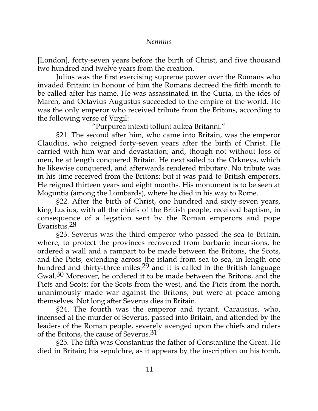[London], forty-seven years before the birth of Christ, and five thousand two hundred and twelve years from the creation.

Julius was the first exercising supreme power over the Romans who invaded Britain: in honour of him the Romans decreed the fifth month to be called after his name. He was assassinated in the Curia, in the ides of March, and Octavius Augustus succeeded to the empire of the world. He was the only emperor who received tribute from the Britons, according to the following verse of Virgil:

"Purpurea intexti tollunt aulæa Britanni."

§21. The second after him, who came into Britain, was the emperor Claudius, who reigned forty-seven years after the birth of Christ. He carried with him war and devastation; and, though not without loss of men, he at length conquered Britain. He next sailed to the Orkneys, which he likewise conquered, and afterwards rendered tributary. No tribute was in his time received from the Britons; but it was paid to British emperors. He reigned thirteen years and eight months. His monument is to be seen at Moguntia (among the Lombards), where he died in his way to Rome.

§22. After the birth of Christ, one hundred and sixty-seven years, king Lucius, with all the chiefs of the British people, received baptism, in consequence of a legation sent by the Roman emperors and pope Evaristus.28

§23. Severus was the third emperor who passed the sea to Britain, where, to protect the provinces recovered from barbaric incursions, he ordered a wall and a rampart to be made between the Britons, the Scots, and the Picts, extending across the island from sea to sea, in length one hundred and thirty-three miles:<sup>29</sup> and it is called in the British language Gwal.<sup>30</sup> Moreover, he ordered it to be made between the Britons, and the Picts and Scots; for the Scots from the west, and the Picts from the north, unanimously made war against the Britons; but were at peace among themselves. Not long after Severus dies in Britain.

§24. The fourth was the emperor and tyrant, Carausius, who, incensed at the murder of Severus, passed into Britain, and attended by the leaders of the Roman people, severely avenged upon the chiefs and rulers of the Britons, the cause of Severus.<sup>31</sup>

§25. The fifth was Constantius the father of Constantine the Great. He died in Britain; his sepulchre, as it appears by the inscription on his tomb,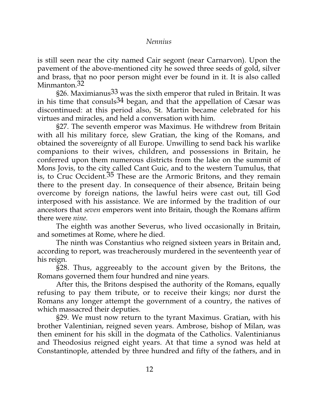is still seen near the city named Cair segont (near Carnarvon). Upon the pavement of the above-mentioned city he sowed three seeds of gold, silver and brass, that no poor person might ever be found in it. It is also called Minmanton.<sup>32</sup>

§26. Maximianus<sup>33</sup> was the sixth emperor that ruled in Britain. It was in his time that consuls  $34$  began, and that the appellation of Cæsar was discontinued: at this period also, St. Martin became celebrated for his virtues and miracles, and held a conversation with him.

§27. The seventh emperor was Maximus. He withdrew from Britain with all his military force, slew Gratian, the king of the Romans, and obtained the sovereignty of all Europe. Unwilling to send back his warlike companions to their wives, children, and possessions in Britain, he conferred upon them numerous districts from the lake on the summit of Mons Jovis, to the city called Cant Guic, and to the western Tumulus, that is, to Cruc Occident. $35$  These are the Armoric Britons, and they remain there to the present day. In consequence of their absence, Britain being overcome by foreign nations, the lawful heirs were cast out, till God interposed with his assistance. We are informed by the tradition of our ancestors that *seven* emperors went into Britain, though the Romans affirm there were *nine.*

The eighth was another Severus, who lived occasionally in Britain, and sometimes at Rome, where he died.

The ninth was Constantius who reigned sixteen years in Britain and, according to report, was treacherously murdered in the seventeenth year of his reign.

§28. Thus, aggreeably to the account given by the Britons, the Romans governed them four hundred and nine years.

After this, the Britons despised the authority of the Romans, equally refusing to pay them tribute, or to receive their kings; nor durst the Romans any longer attempt the government of a country, the natives of which massacred their deputies.

§29. We must now return to the tyrant Maximus. Gratian, with his brother Valentinian, reigned seven years. Ambrose, bishop of Milan, was then eminent for his skill in the dogmata of the Catholics. Valentinianus and Theodosius reigned eight years. At that time a synod was held at Constantinople, attended by three hundred and fifty of the fathers, and in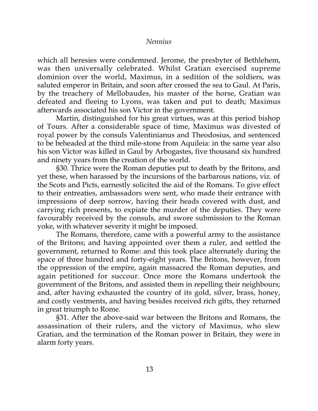which all heresies were condemned. Jerome, the presbyter of Bethlehem, was then universally celebrated. Whilst Gratian exercised supreme dominion over the world, Maximus, in a sedition of the soldiers, was saluted emperor in Britain, and soon after crossed the sea to Gaul. At Paris, by the treachery of Mellobaudes, his master of the horse, Gratian was defeated and fleeing to Lyons, was taken and put to death; Maximus afterwards associated his son Victor in the government.

Martin, distinguished for his great virtues, was at this period bishop of Tours. After a considerable space of time, Maximus was divested of royal power by the consuls Valentinianus and Theodosius, and sentenced to be beheaded at the third mile-stone from Aquileia: in the same year also his son Victor was killed in Gaul by Arbogastes, five thousand six hundred and ninety years from the creation of the world.

§30. Thrice were the Roman deputies put to death by the Britons, and yet these, when harassed by the incursions of the barbarous nations, viz. of the Scots and Picts, earnestly solicited the aid of the Romans. To give effect to their entreaties, ambassadors were sent, who made their entrance with impressions of deep sorrow, having their heads covered with dust, and carrying rich presents, to expiate the murder of the deputies. They were favourably received by the consuls, and swore submission to the Roman yoke, with whatever severity it might be imposed.

The Romans, therefore, came with a powerful army to the assistance of the Britons; and having appointed over them a ruler, and settled the government, returned to Rome: and this took place alternately during the space of three hundred and forty-eight years. The Britons, however, from the oppression of the empire, again massacred the Roman deputies, and again petitioned for succour. Once more the Romans undertook the government of the Britons, and assisted them in repelling their neighbours; and, after having exhausted the country of its gold, silver, brass, honey, and costly vestments, and having besides received rich gifts, they returned in great triumph to Rome.

§31. After the above-said war between the Britons and Romans, the assassination of their rulers, and the victory of Maximus, who slew Gratian, and the termination of the Roman power in Britain, they were in alarm forty years.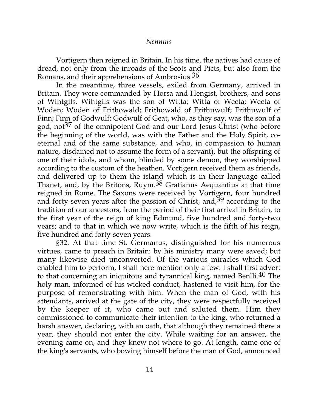Vortigern then reigned in Britain. In his time, the natives had cause of dread, not only from the inroads of the Scots and Picts, but also from the Romans, and their apprehensions of Ambrosius.36

In the meantime, three vessels, exiled from Germany, arrived in Britain. They were commanded by Horsa and Hengist, brothers, and sons of Wihtgils. Wihtgils was the son of Witta; Witta of Wecta; Wecta of Woden; Woden of Frithowald; Frithowald of Frithuwulf; Frithuwulf of Finn; Finn of Godwulf; Godwulf of Geat, who, as they say, was the son of a god, not<sup>37</sup> of the omnipotent God and our Lord Jesus Christ (who before the beginning of the world, was with the Father and the Holy Spirit, coeternal and of the same substance, and who, in compassion to human nature, disdained not to assume the form of a servant), but the offspring of one of their idols, and whom, blinded by some demon, they worshipped according to the custom of the heathen. Vortigern received them as friends, and delivered up to them the island which is in their language called Thanet, and, by the Britons, Ruym.38 Gratianus Aequantius at that time reigned in Rome. The Saxons were received by Vortigern, four hundred and forty-seven years after the passion of Christ, and,  $39$  according to the tradition of our ancestors, from the period of their first arrival in Britain, to the first year of the reign of king Edmund, five hundred and forty-two years; and to that in which we now write, which is the fifth of his reign, five hundred and forty-seven years.

§32. At that time St. Germanus, distinguished for his numerous virtues, came to preach in Britain: by his ministry many were saved; but many likewise died unconverted. Of the various miracles which God enabled him to perform, I shall here mention only a few: I shall first advert to that concerning an iniquitous and tyrannical king, named Benlli.40 The holy man, informed of his wicked conduct, hastened to visit him, for the purpose of remonstrating with him. When the man of God, with his attendants, arrived at the gate of the city, they were respectfully received by the keeper of it, who came out and saluted them. Him they commissioned to communicate their intention to the king, who returned a harsh answer, declaring, with an oath, that although they remained there a year, they should not enter the city. While waiting for an answer, the evening came on, and they knew not where to go. At length, came one of the king's servants, who bowing himself before the man of God, announced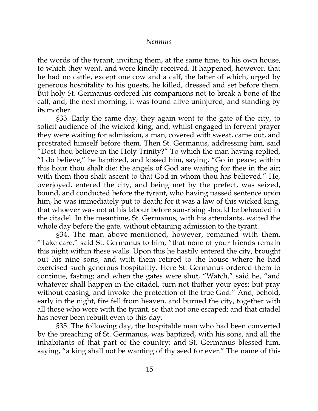the words of the tyrant, inviting them, at the same time, to his own house, to which they went, and were kindly received. It happened, however, that he had no cattle, except one cow and a calf, the latter of which, urged by generous hospitality to his guests, he killed, dressed and set before them. But holy St. Germanus ordered his companions not to break a bone of the calf; and, the next morning, it was found alive uninjured, and standing by its mother.

§33. Early the same day, they again went to the gate of the city, to solicit audience of the wicked king; and, whilst engaged in fervent prayer they were waiting for admission, a man, covered with sweat, came out, and prostrated himself before them. Then St. Germanus, addressing him, said "Dost thou believe in the Holy Trinity?" To which the man having replied, "I do believe," he baptized, and kissed him, saying, "Go in peace; within this hour thou shalt die: the angels of God are waiting for thee in the air; with them thou shalt ascent to that God in whom thou has believed." He, overjoyed, entered the city, and being met by the prefect, was seized, bound, and conducted before the tyrant, who having passed sentence upon him, he was immediately put to death; for it was a law of this wicked king, that whoever was not at his labour before sun-rising should be beheaded in the citadel. In the meantime, St. Germanus, with his attendants, waited the whole day before the gate, without obtaining admission to the tyrant.

§34. The man above-mentioned, however, remained with them. "Take care," said St. Germanus to him, "that none of your friends remain this night within these walls. Upon this he hastily entered the city, brought out his nine sons, and with them retired to the house where he had exercised such generous hospitality. Here St. Germanus ordered them to continue, fasting; and when the gates were shut, "Watch," said he, "and whatever shall happen in the citadel, turn not thither your eyes; but pray without ceasing, and invoke the protection of the true God." And, behold, early in the night, fire fell from heaven, and burned the city, together with all those who were with the tyrant, so that not one escaped; and that citadel has never been rebuilt even to this day.

§35. The following day, the hospitable man who had been converted by the preaching of St. Germanus, was baptized, with his sons, and all the inhabitants of that part of the country; and St. Germanus blessed him, saying, "a king shall not be wanting of thy seed for ever." The name of this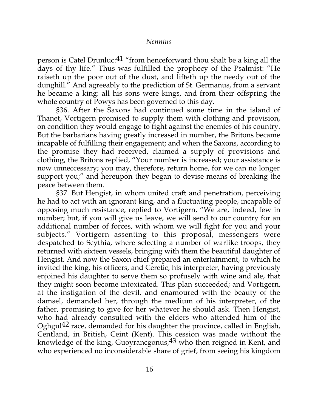person is Catel Drunluc:  $41$  "from henceforward thou shalt be a king all the days of thy life." Thus was fulfilled the prophecy of the Psalmist: "He raiseth up the poor out of the dust, and lifteth up the needy out of the dunghill." And agreeably to the prediction of St. Germanus, from a servant he became a king: all his sons were kings, and from their offspring the whole country of Powys has been governed to this day.

§36. After the Saxons had continued some time in the island of Thanet, Vortigern promised to supply them with clothing and provision, on condition they would engage to fight against the enemies of his country. But the barbarians having greatly increased in number, the Britons became incapable of fulfilling their engagement; and when the Saxons, according to the promise they had received, claimed a supply of provisions and clothing, the Britons replied, "Your number is increased; your assistance is now unneccessary; you may, therefore, return home, for we can no longer support you;" and hereupon they began to devise means of breaking the peace between them.

§37. But Hengist, in whom united craft and penetration, perceiving he had to act with an ignorant king, and a fluctuating people, incapable of opposing much resistance, replied to Vortigern, "We are, indeed, few in number; but, if you will give us leave, we will send to our country for an additional number of forces, with whom we will fight for you and your subjects." Vortigern assenting to this proposal, messengers were despatched to Scythia, where selecting a number of warlike troops, they returned with sixteen vessels, bringing with them the beautiful daughter of Hengist. And now the Saxon chief prepared an entertainment, to which he invited the king, his officers, and Ceretic, his interpreter, having previously enjoined his daughter to serve them so profusely with wine and ale, that they might soon become intoxicated. This plan succeeded; and Vortigern, at the instigation of the devil, and enamoured with the beauty of the damsel, demanded her, through the medium of his interpreter, of the father, promising to give for her whatever he should ask. Then Hengist, who had already consulted with the elders who attended him of the Oghgul42 race, demanded for his daughter the province, called in English, Centland, in British, Ceint (Kent). This cession was made without the knowledge of the king, Guoyrancgonus,  $43$  who then reigned in Kent, and who experienced no inconsiderable share of grief, from seeing his kingdom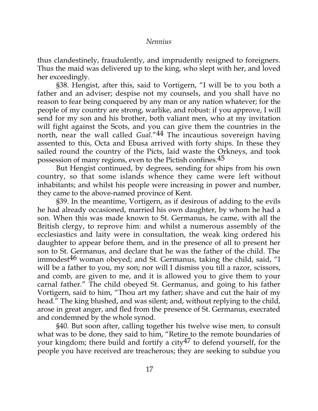thus clandestinely, fraudulently, and imprudently resigned to foreigners. Thus the maid was delivered up to the king, who slept with her, and loved her exceedingly.

§38. Hengist, after this, said to Vortigern, "I will be to you both a father and an adviser; despise not my counsels, and you shall have no reason to fear being conquered by any man or any nation whatever; for the people of my country are strong, warlike, and robust: if you approve, I will send for my son and his brother, both valiant men, who at my invitation will fight against the Scots, and you can give them the countries in the north, near the wall called *Gual.*"44 The incautious sovereign having assented to this, Octa and Ebusa arrived with forty ships. In these they sailed round the country of the Picts, laid waste the Orkneys, and took possession of many regions, even to the Pictish confines.45

But Hengist continued, by degrees, sending for ships from his own country, so that some islands whence they came were left without inhabitants; and whilst his people were increasing in power and number, they came to the above-named province of Kent.

§39. In the meantime, Vortigern, as if desirous of adding to the evils he had already occasioned, married his own daughter, by whom he had a son. When this was made known to St. Germanus, he came, with all the British clergy, to reprove him: and whilst a numerous assembly of the ecclesiastics and laity were in consultation, the weak king ordered his daughter to appear before them, and in the presence of all to present her son to St. Germanus, and declare that he was the father of the child. The immodest<sup>46</sup> woman obeyed; and St. Germanus, taking the child, said, "I will be a father to you, my son; nor will I dismiss you till a razor, scissors, and comb, are given to me, and it is allowed you to give them to your carnal father." The child obeyed St. Germanus, and going to his father Vortigern, said to him, "Thou art my father; shave and cut the hair of my head." The king blushed, and was silent; and, without replying to the child, arose in great anger, and fled from the presence of St. Germanus, execrated and condemned by the whole synod.

§40. But soon after, calling together his twelve wise men, to consult what was to be done, they said to him, "Retire to the remote boundaries of your kingdom; there build and fortify a city  $47$  to defend yourself, for the people you have received are treacherous; they are seeking to subdue you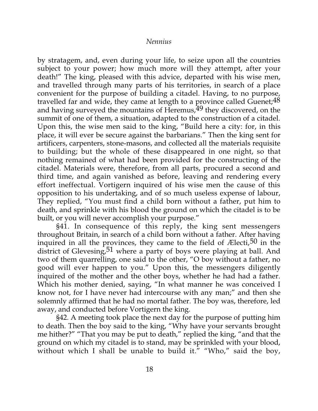by stratagem, and, even during your life, to seize upon all the countries subject to your power; how much more will they attempt, after your death!" The king, pleased with this advice, departed with his wise men, and travelled through many parts of his territories, in search of a place convenient for the purpose of building a citadel. Having, to no purpose, travelled far and wide, they came at length to a province called Guenet;  $48$ and having surveyed the mountains of Heremus,  $49$  they discovered, on the summit of one of them, a situation, adapted to the construction of a citadel. Upon this, the wise men said to the king, "Build here a city: for, in this place, it will ever be secure against the barbarians." Then the king sent for artificers, carpenters, stone-masons, and collected all the materials requisite to building; but the whole of these disappeared in one night, so that nothing remained of what had been provided for the constructing of the citadel. Materials were, therefore, from all parts, procured a second and third time, and again vanished as before, leaving and rendering every effort ineffectual. Vortigern inquired of his wise men the cause of this opposition to his undertaking, and of so much useless expense of labour, They replied, "You must find a child born without a father, put him to death, and sprinkle with his blood the ground on which the citadel is to be built, or you will never accomplish your purpose."

§41. In consequence of this reply, the king sent messengers throughout Britain, in search of a child born without a father. After having inquired in all the provinces, they came to the field of  $E$ lecti,  $50$  in the district of Glevesing,  $51$  where a party of boys were playing at ball. And two of them quarrelling, one said to the other, "O boy without a father, no good will ever happen to you." Upon this, the messengers diligently inquired of the mother and the other boys, whether he had had a father. Which his mother denied, saying, "In what manner he was conceived I know not, for I have never had intercourse with any man;" and then she solemnly affirmed that he had no mortal father. The boy was, therefore, led away, and conducted before Vortigern the king.

§42. A meeting took place the next day for the purpose of putting him to death. Then the boy said to the king, "Why have your servants brought me hither?" "That you may be put to death," replied the king, "and that the ground on which my citadel is to stand, may be sprinkled with your blood, without which I shall be unable to build it." "Who," said the boy,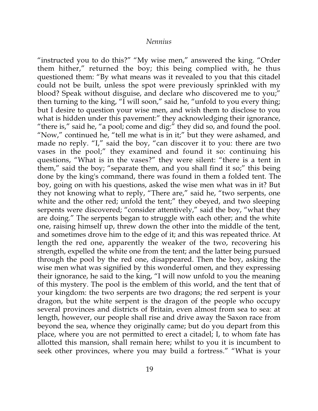"instructed you to do this?" "My wise men," answered the king. "Order them hither," returned the boy; this being complied with, he thus questioned them: "By what means was it revealed to you that this citadel could not be built, unless the spot were previously sprinkled with my blood? Speak without disguise, and declare who discovered me to you;" then turning to the king, "I will soon," said he, "unfold to you every thing; but I desire to question your wise men, and wish them to disclose to you what is hidden under this pavement:" they acknowledging their ignorance, "there is," said he, "a pool; come and dig:" they did so, and found the pool. "Now," continued he, "tell me what is in it;" but they were ashamed, and made no reply. "I," said the boy, "can discover it to you: there are two vases in the pool;" they examined and found it so: continuing his questions, "What is in the vases?" they were silent: "there is a tent in them," said the boy; "separate them, and you shall find it so;" this being done by the king's command, there was found in them a folded tent. The boy, going on with his questions, asked the wise men what was in it? But they not knowing what to reply, "There are," said he, "two serpents, one white and the other red; unfold the tent;" they obeyed, and two sleeping serpents were discovered; "consider attentively," said the boy, "what they are doing." The serpents began to struggle with each other; and the white one, raising himself up, threw down the other into the middle of the tent, and sometimes drove him to the edge of it; and this was repeated thrice. At length the red one, apparently the weaker of the two, recovering his strength, expelled the white one from the tent; and the latter being pursued through the pool by the red one, disappeared. Then the boy, asking the wise men what was signified by this wonderful omen, and they expressing their ignorance, he said to the king, "I will now unfold to you the meaning of this mystery. The pool is the emblem of this world, and the tent that of your kingdom: the two serpents are two dragons; the red serpent is your dragon, but the white serpent is the dragon of the people who occupy several provinces and districts of Britain, even almost from sea to sea: at length, however, our people shall rise and drive away the Saxon race from beyond the sea, whence they originally came; but do you depart from this place, where you are not permitted to erect a citadel; I, to whom fate has allotted this mansion, shall remain here; whilst to you it is incumbent to seek other provinces, where you may build a fortress." "What is your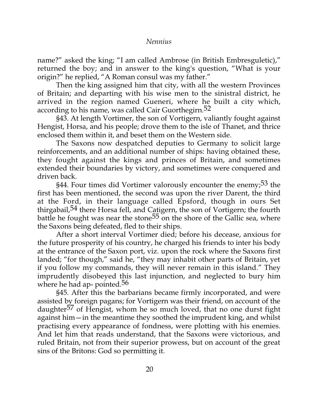name?" asked the king; "I am called Ambrose (in British Embresguletic)," returned the boy; and in answer to the king's question, "What is your origin?" he replied, "A Roman consul was my father."

Then the king assigned him that city, with all the western Provinces of Britain; and departing with his wise men to the sinistral district, he arrived in the region named Gueneri, where he built a city which, according to his name, was called Cair Guorthegirn.<sup>52</sup>

§43. At length Vortimer, the son of Vortigern, valiantly fought against Hengist, Horsa, and his people; drove them to the isle of Thanet, and thrice enclosed them within it, and beset them on the Western side.

The Saxons now despatched deputies to Germany to solicit large reinforcements, and an additional number of ships: having obtained these, they fought against the kings and princes of Britain, and sometimes extended their boundaries by victory, and sometimes were conquered and driven back.

§44. Four times did Vortimer valorously encounter the enemy;<sup>53</sup> the first has been mentioned, the second was upon the river Darent, the third at the Ford, in their language called Epsford, though in ours Set thirgabail,  $54$  there Horsa fell, and Catigern, the son of Vortigern; the fourth battle he fought was near the stone<sup>55</sup> on the shore of the Gallic sea, where the Saxons being defeated, fled to their ships.

After a short interval Vortimer died; before his decease, anxious for the future prosperity of his country, he charged his friends to inter his body at the entrance of the Saxon port, viz. upon the rock where the Saxons first landed; "for though," said he, "they may inhabit other parts of Britain, yet if you follow my commands, they will never remain in this island." They imprudently disobeyed this last injunction, and neglected to bury him where he had ap- pointed. $56$ 

§45. After this the barbarians became firmly incorporated, and were assisted by foreign pagans; for Vortigern was their friend, on account of the daughter<sup>57</sup> of Hengist, whom he so much loved, that no one durst fight against him—in the meantime they soothed the imprudent king, and whilst practising every appearance of fondness, were plotting with his enemies. And let him that reads understand, that the Saxons were victorious, and ruled Britain, not from their superior prowess, but on account of the great sins of the Britons: God so permitting it.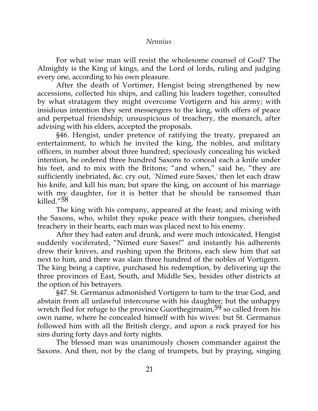For what wise man will resist the wholesome counsel of God? The Almighty is the King of kings, and the Lord of lords, ruling and judging every one, according to his own pleasure.

After the death of Vortimer, Hengist being strengthened by new accessions, collected his ships, and calling his leaders together, consulted by what stratagem they might overcome Vortigern and his army; with insidious intention they sent messengers to the king, with offers of peace and perpetual friendship; unsuspicious of treachery, the monarch, after advising with his elders, accepted the proposals.

§46. Hengist, under pretence of ratifying the treaty, prepared an entertainment, to which he invited the king, the nobles, and military officers, in number about three hundred; speciously concealing his wicked intention, he ordered three hundred Saxons to conceal each a knife under his feet, and to mix with the Britons; "and when," said he, "they are sufficiently inebriated, &c. cry out, `Nimed eure Saxes,' then let each draw his knife, and kill his man; but spare the king, on account of his marriage with my daughter, for it is better that he should be ransomed than killed."58

The king with his company, appeared at the feast; and mixing with the Saxons, who, whilst they spoke peace with their tongues, cherished treachery in their hearts, each man was placed next to his enemy.

After they had eaten and drunk, and were much intoxicated, Hengist suddenly vociferated, "Nimed eure Saxes!" and instantly his adherents drew their knives, and rushing upon the Britons, each slew him that sat next to him, and there was slain three hundred of the nobles of Vortigern. The king being a captive, purchased his redemption, by delivering up the three provinces of East, South, and Middle Sex, besides other districts at the option of his betrayers.

§47. St. Germanus admonished Vortigern to turn to the true God, and abstain from all unlawful intercourse with his daughter; but the unhappy wretch fled for refuge to the province Guorthegirnaim,<sup>59</sup> so called from his own name, where he concealed himself with his wives: but St. Germanus followed him with all the British clergy, and upon a rock prayed for his sins during forty days and forty nights.

The blessed man was unanimously chosen commander against the Saxons. And then, not by the clang of trumpets, but by praying, singing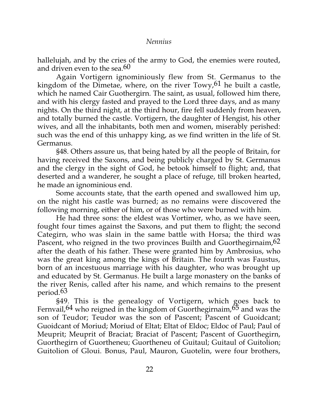hallelujah, and by the cries of the army to God, the enemies were routed, and driven even to the sea. $60$ 

Again Vortigern ignominiously flew from St. Germanus to the kingdom of the Dimetae, where, on the river  $Towy<sub>1</sub>$ , the built a castle, which he named Cair Guothergirn. The saint, as usual, followed him there, and with his clergy fasted and prayed to the Lord three days, and as many nights. On the third night, at the third hour, fire fell suddenly from heaven, and totally burned the castle. Vortigern, the daughter of Hengist, his other wives, and all the inhabitants, both men and women, miserably perished: such was the end of this unhappy king, as we find written in the life of St. Germanus.

§48. Others assure us, that being hated by all the people of Britain, for having received the Saxons, and being publicly charged by St. Germanus and the clergy in the sight of God, he betook himself to flight; and, that deserted and a wanderer, he sought a place of refuge, till broken hearted, he made an ignominious end.

Some accounts state, that the earth opened and swallowed him up, on the night his castle was burned; as no remains were discovered the following morning, either of him, or of those who were burned with him.

He had three sons: the eldest was Vortimer, who, as we have seen, fought four times against the Saxons, and put them to flight; the second Categirn, who was slain in the same battle with Horsa; the third was Pascent, who reigned in the two provinces Builth and Guorthegirnaim, <sup>62</sup> after the death of his father. These were granted him by Ambrosius, who was the great king among the kings of Britain. The fourth was Faustus, born of an incestuous marriage with his daughter, who was brought up and educated by St. Germanus. He built a large monastery on the banks of the river Renis, called after his name, and which remains to the present period.63

§49. This is the genealogy of Vortigern, which goes back to Fernvail,  $64$  who reigned in the kingdom of Guorthegirnaim,  $65$  and was the son of Teudor; Teudor was the son of Pascent; Pascent of Guoidcant; Guoidcant of Moriud; Moriud of Eltat; Eltat of Eldoc; Eldoc of Paul; Paul of Meuprit; Meuprit of Braciat; Braciat of Pascent; Pascent of Guorthegirn, Guorthegirn of Guortheneu; Guortheneu of Guitaul; Guitaul of Guitolion; Guitolion of Gloui. Bonus, Paul, Mauron, Guotelin, were four brothers,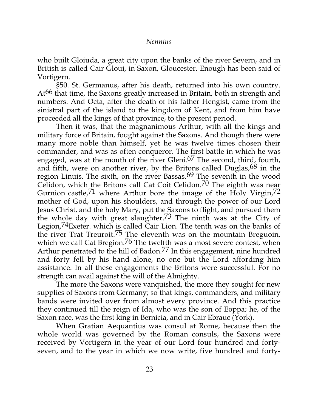who built Gloiuda, a great city upon the banks of the river Severn, and in British is called Cair Gloui, in Saxon, Gloucester. Enough has been said of Vortigern.

§50. St. Germanus, after his death, returned into his own country. At<sup>66</sup> that time, the Saxons greatly increased in Britain, both in strength and numbers. And Octa, after the death of his father Hengist, came from the sinistral part of the island to the kingdom of Kent, and from him have proceeded all the kings of that province, to the present period.

Then it was, that the magnanimous Arthur, with all the kings and military force of Britain, fought against the Saxons. And though there were many more noble than himself, yet he was twelve times chosen their commander, and was as often conqueror. The first battle in which he was engaged, was at the mouth of the river Gleni.<sup>67</sup> The second, third, fourth, and fifth, were on another river, by the Britons called Duglas,  $68$  in the region Linuis. The sixth, on the river Bassas.69 The seventh in the wood Celidon, which the Britons call Cat Coit Celidon.<sup>70</sup> The eighth was near Gurnion castle,  $71$  where Arthur bore the image of the Holy Virgin,  $72$ mother of God, upon his shoulders, and through the power of our Lord Jesus Christ, and the holy Mary, put the Saxons to flight, and pursued them the whole day with great slaughter.73 The ninth was at the City of Legion,74Exeter. which is called Cair Lion. The tenth was on the banks of the river Trat Treuroit.75 The eleventh was on the mountain Breguoin, which we call Cat Bregion.<sup>76</sup> The twelfth was a most severe contest, when Arthur penetrated to the hill of Badon.<sup>77</sup> In this engagement, nine hundred and forty fell by his hand alone, no one but the Lord affording him assistance. In all these engagements the Britons were successful. For no strength can avail against the will of the Almighty.

The more the Saxons were vanquished, the more they sought for new supplies of Saxons from Germany; so that kings, commanders, and military bands were invited over from almost every province. And this practice they continued till the reign of Ida, who was the son of Eoppa; he, of the Saxon race, was the first king in Bernicia, and in Cair Ebrauc (York).

When Gratian Aequantius was consul at Rome, because then the whole world was governed by the Roman consuls, the Saxons were received by Vortigern in the year of our Lord four hundred and fortyseven, and to the year in which we now write, five hundred and forty-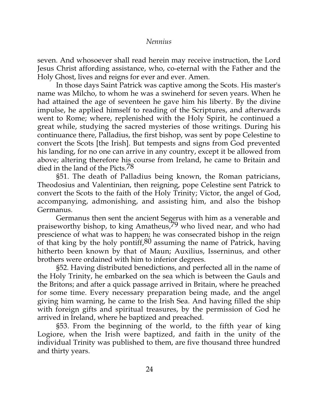seven. And whosoever shall read herein may receive instruction, the Lord Jesus Christ affording assistance, who, co-eternal with the Father and the Holy Ghost, lives and reigns for ever and ever. Amen.

In those days Saint Patrick was captive among the Scots. His master's name was Milcho, to whom he was a swineherd for seven years. When he had attained the age of seventeen he gave him his liberty. By the divine impulse, he applied himself to reading of the Scriptures, and afterwards went to Rome; where, replenished with the Holy Spirit, he continued a great while, studying the sacred mysteries of those writings. During his continuance there, Palladius, the first bishop, was sent by pope Celestine to convert the Scots [the Irish]. But tempests and signs from God prevented his landing, for no one can arrive in any country, except it be allowed from above; altering therefore his course from Ireland, he came to Britain and died in the land of the Picts.<sup>78</sup>

§51. The death of Palladius being known, the Roman patricians, Theodosius and Valentinian, then reigning, pope Celestine sent Patrick to convert the Scots to the faith of the Holy Trinity; Victor, the angel of God, accompanying, admonishing, and assisting him, and also the bishop Germanus.

Germanus then sent the ancient Segerus with him as a venerable and praiseworthy bishop, to king Amatheus,<sup>79</sup> who lived near, and who had prescience of what was to happen; he was consecrated bishop in the reign of that king by the holy pontiff,  $80$  assuming the name of Patrick, having hitherto been known by that of Maun; Auxilius, Isserninus, and other brothers were ordained with him to inferior degrees.

§52. Having distributed benedictions, and perfected all in the name of the Holy Trinity, he embarked on the sea which is between the Gauls and the Britons; and after a quick passage arrived in Britain, where he preached for some time. Every necessary preparation being made, and the angel giving him warning, he came to the Irish Sea. And having filled the ship with foreign gifts and spiritual treasures, by the permission of God he arrived in Ireland, where he baptized and preached.

§53. From the beginning of the world, to the fifth year of king Logiore, when the Irish were baptized, and faith in the unity of the individual Trinity was published to them, are five thousand three hundred and thirty years.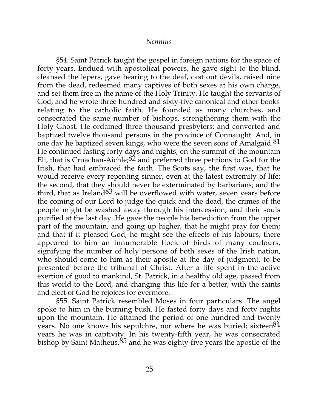§54. Saint Patrick taught the gospel in foreign nations for the space of forty years. Endued with apostolical powers, he gave sight to the blind, cleansed the lepers, gave hearing to the deaf, cast out devils, raised nine from the dead, redeemed many captives of both sexes at his own charge, and set them free in the name of the Holy Trinity. He taught the servants of God, and he wrote three hundred and sixty-five canonical and other books relating to the catholic faith. He founded as many churches, and consecrated the same number of bishops, strengthening them with the Holy Ghost. He ordained three thousand presbyters; and converted and baptized twelve thousand persons in the province of Connaught. And, in one day he baptized seven kings, who were the seven sons of Amalgaid.<sup>81</sup> He continued fasting forty days and nights, on the summit of the mountain Eli, that is Cruachan-Aichle; $82$  and preferred three petitions to God for the Irish, that had embraced the faith. The Scots say, the first was, that he would receive every repenting sinner, even at the latest extremity of life; the second, that they should never be exterminated by barbarians; and the third, that as Ireland  $83$  will be overflowed with water, seven years before the coming of our Lord to judge the quick and the dead, the crimes of the people might be washed away through his intercession, and their souls purified at the last day. He gave the people his benediction from the upper part of the mountain, and going up higher, that he might pray for them; and that if it pleased God, he might see the effects of his labours, there appeared to him an innumerable flock of birds of many coulours, signifying the number of holy persons of both sexes of the Irish nation, who should come to him as their apostle at the day of judgment, to be presented before the tribunal of Christ. After a life spent in the active exertion of good to mankind, St. Patrick, in a healthy old age, passed from this world to the Lord, and changing this life for a better, with the saints and elect of God he rejoices for evermore.

§55. Saint Patrick resembled Moses in four particulars. The angel spoke to him in the burning bush. He fasted forty days and forty nights upon the mountain. He attained the period of one hundred and twenty years. No one knows his sepulchre, nor where he was buried; sixteen  $84$ years he was in captivity. In his twenty-fifth year, he was consecrated bishop by Saint Matheus,  $85$  and he was eighty-five years the apostle of the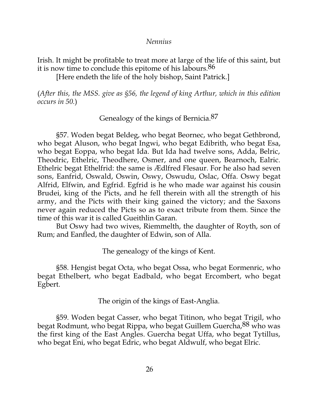Irish. It might be profitable to treat more at large of the life of this saint, but it is now time to conclude this epitome of his labours.86

[Here endeth the life of the holy bishop, Saint Patrick.]

(*After this, the MSS. give as §56, the legend of king Arthur, which in this edition occurs in 50.*)

Genealogy of the kings of Bernicia.87

§57. Woden begat Beldeg, who begat Beornec, who begat Gethbrond, who begat Aluson, who begat Ingwi, who begat Edibrith, who begat Esa, who begat Eoppa, who begat Ida. But Ida had twelve sons, Adda, Belric, Theodric, Ethelric, Theodhere, Osmer, and one queen, Bearnoch, Ealric. Ethelric begat Ethelfrid: the same is Ædlfred Flesaur. For he also had seven sons, Eanfrid, Oswald, Oswin, Oswy, Oswudu, Oslac, Offa. Oswy begat Alfrid, Elfwin, and Egfrid. Egfrid is he who made war against his cousin Brudei, king of the Picts, and he fell therein with all the strength of his army, and the Picts with their king gained the victory; and the Saxons never again reduced the Picts so as to exact tribute from them. Since the time of this war it is called Gueithlin Garan.

But Oswy had two wives, Riemmelth, the daughter of Royth, son of Rum; and Eanfled, the daughter of Edwin, son of Alla.

The genealogy of the kings of Kent.

§58. Hengist begat Octa, who begat Ossa, who begat Eormenric, who begat Ethelbert, who begat Eadbald, who begat Ercombert, who begat Egbert.

The origin of the kings of East-Anglia.

§59. Woden begat Casser, who begat Titinon, who begat Trigil, who begat Rodmunt, who begat Rippa, who begat Guillem Guercha,88 who was the first king of the East Angles. Guercha begat Uffa, who begat Tytillus, who begat Eni, who begat Edric, who begat Aldwulf, who begat Elric.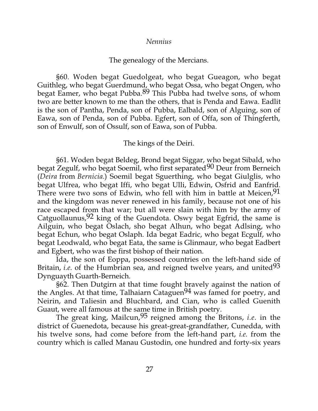## The genealogy of the Mercians.

§60. Woden begat Guedolgeat, who begat Gueagon, who begat Guithleg, who begat Guerdmund, who begat Ossa, who begat Ongen, who begat Eamer, who begat Pubba.89 This Pubba had twelve sons, of whom two are better known to me than the others, that is Penda and Eawa. Eadlit is the son of Pantha, Penda, son of Pubba, Ealbald, son of Alguing, son of Eawa, son of Penda, son of Pubba. Egfert, son of Offa, son of Thingferth, son of Enwulf, son of Ossulf, son of Eawa, son of Pubba.

## The kings of the Deiri.

§61. Woden begat Beldeg, Brond begat Siggar, who begat Sibald, who begat Zegulf, who begat Soemil, who first separated<sup>90</sup> Deur from Berneich (*Deira* from *Bernicia.*) Soemil begat Sguerthing, who begat Giulglis, who begat Ulfrea, who begat Iffi, who begat Ulli, Edwin, Osfrid and Eanfrid. There were two sons of Edwin, who fell with him in battle at Meicen, 91 and the kingdom was never renewed in his family, because not one of his race escaped from that war; but all were slain with him by the army of Catguollaunus,  $92 \text{ king of the Guendota. Oswy began Egfrid, the same is}$ Ailguin, who begat Oslach, sho begat Alhun, who begat Adlsing, who begat Echun, who begat Oslaph. Ida begat Eadric, who begat Ecgulf, who begat Leodwald, who begat Eata, the same is Glinmaur, who begat Eadbert and Egbert, who was the first bishop of their nation.

Ida, the son of Eoppa, possessed countries on the left-hand side of Britain, *i.e.* of the Humbrian sea, and reigned twelve years, and united<sup>93</sup> Dynguayth Guarth-Berneich.

§62. Then Dutgirn at that time fought bravely against the nation of the Angles. At that time, Talhaiarn Cataguen<sup>94</sup> was famed for poetry, and Neirin, and Taliesin and Bluchbard, and Cian, who is called Guenith Guaut, were all famous at the same time in British poetry.

The great king, Mailcun,95 reigned among the Britons, *i.e.* in the district of Guenedota, because his great-great-grandfather, Cunedda, with his twelve sons, had come before from the left-hand part, *i.e.* from the country which is called Manau Gustodin, one hundred and forty-six years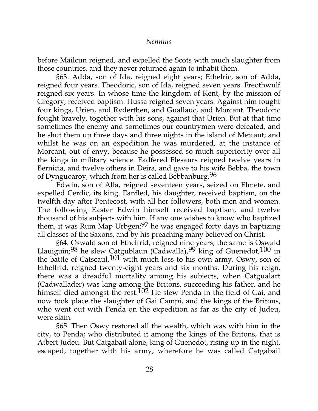before Mailcun reigned, and expelled the Scots with much slaughter from those countries, and they never returned again to inhabit them.

§63. Adda, son of Ida, reigned eight years; Ethelric, son of Adda, reigned four years. Theodoric, son of Ida, reigned seven years. Freothwulf reigned six years. In whose time the kingdom of Kent, by the mission of Gregory, received baptism. Hussa reigned seven years. Against him fought four kings, Urien, and Ryderthen, and Guallauc, and Morcant. Theodoric fought bravely, together with his sons, against that Urien. But at that time sometimes the enemy and sometimes our countrymen were defeated, and he shut them up three days and three nights in the island of Metcaut; and whilst he was on an expedition he was murdered, at the instance of Morcant, out of envy, because he possessed so much superiority over all the kings in military science. Eadfered Flesaurs reigned twelve years in Bernicia, and twelve others in Deira, and gave to his wife Bebba, the town of Dynguoaroy, which from her is called Bebbanburg.96

Edwin, son of Alla, reigned seventeen years, seized on Elmete, and expelled Cerdic, its king. Eanfled, his daughter, received baptism, on the twelfth day after Pentecost, with all her followers, both men and women. The following Easter Edwin himself received baptism, and twelve thousand of his subjects with him. If any one wishes to know who baptized them, it was Rum Map Urbgen:<sup>97</sup> he was engaged forty days in baptizing all classes of the Saxons, and by his preaching many believed on Christ.

§64. Oswald son of Ethelfrid, reigned nine years; the same is Oswald Llauiguin;<sup>98</sup> he slew Catgublaun (Cadwalla),<sup>99</sup> king of Guenedot,  $100$  in the battle of Catscaul,  $101$  with much loss to his own army. Oswy, son of Ethelfrid, reigned twenty-eight years and six months. During his reign, there was a dreadful mortality among his subjects, when Catgualart (Cadwallader) was king among the Britons, succeeding his father, and he himself died amongst the rest.<sup>102</sup> He slew Penda in the field of Gai, and now took place the slaughter of Gai Campi, and the kings of the Britons, who went out with Penda on the expedition as far as the city of Judeu, were slain.

§65. Then Oswy restored all the wealth, which was with him in the city, to Penda; who distributed it among the kings of the Britons, that is Atbert Judeu. But Catgabail alone, king of Guenedot, rising up in the night, escaped, together with his army, wherefore he was called Catgabail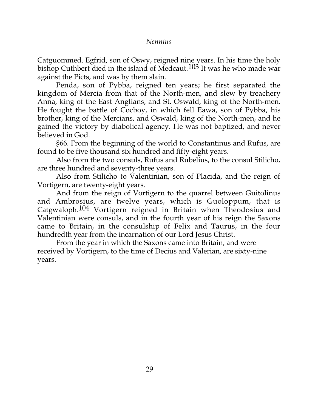Catguommed. Egfrid, son of Oswy, reigned nine years. In his time the holy bishop Cuthbert died in the island of Medcaut.103 It was he who made war against the Picts, and was by them slain.

Penda, son of Pybba, reigned ten years; he first separated the kingdom of Mercia from that of the North-men, and slew by treachery Anna, king of the East Anglians, and St. Oswald, king of the North-men. He fought the battle of Cocboy, in which fell Eawa, son of Pybba, his brother, king of the Mercians, and Oswald, king of the North-men, and he gained the victory by diabolical agency. He was not baptized, and never believed in God.

§66. From the beginning of the world to Constantinus and Rufus, are found to be five thousand six hundred and fifty-eight years.

Also from the two consuls, Rufus and Rubelius, to the consul Stilicho, are three hundred and seventy-three years.

Also from Stilicho to Valentinian, son of Placida, and the reign of Vortigern, are twenty-eight years.

And from the reign of Vortigern to the quarrel between Guitolinus and Ambrosius, are twelve years, which is Guoloppum, that is Catgwaloph.104 Vortigern reigned in Britain when Theodosius and Valentinian were consuls, and in the fourth year of his reign the Saxons came to Britain, in the consulship of Felix and Taurus, in the four hundredth year from the incarnation of our Lord Jesus Christ.

From the year in which the Saxons came into Britain, and were received by Vortigern, to the time of Decius and Valerian, are sixty-nine years.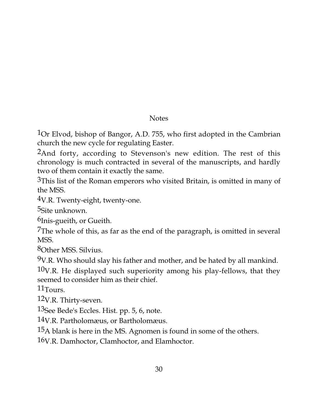# **Notes**

1Or Elvod, bishop of Bangor, A.D. 755, who first adopted in the Cambrian church the new cycle for regulating Easter.

2And forty, according to Stevenson's new edition. The rest of this chronology is much contracted in several of the manuscripts, and hardly two of them contain it exactly the same.

<sup>3</sup>This list of the Roman emperors who visited Britain, is omitted in many of the MSS.

4V.R. Twenty-eight, twenty-one.

5Site unknown.

6Inis-gueith, or Gueith.

7The whole of this, as far as the end of the paragraph, is omitted in several MSS.

8Other MSS. Silvius.

 $9V.R.$  Who should slay his father and mother, and be hated by all mankind.

 $10V.R.$  He displayed such superiority among his play-fellows, that they seemed to consider him as their chief.

11Tours.

12V.R. Thirty-seven.

13See Bede's Eccles. Hist. pp. 5, 6, note.

14V.R. Partholomæus, or Bartholomæus.

15A blank is here in the MS. Agnomen is found in some of the others.

16V.R. Damhoctor, Clamhoctor, and Elamhoctor.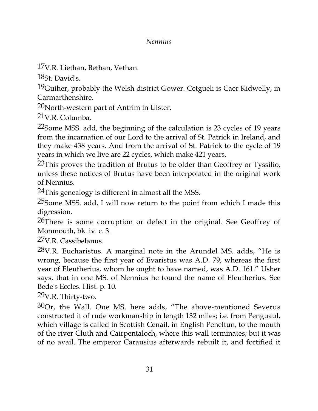17V.R. Liethan, Bethan, Vethan.

18St. David's.

19Guiher, probably the Welsh district Gower. Cetgueli is Caer Kidwelly, in Carmarthenshire.

20North-western part of Antrim in Ulster.

21V.R. Columba.

22Some MSS. add, the beginning of the calculation is 23 cycles of 19 years from the incarnation of our Lord to the arrival of St. Patrick in Ireland, and they make 438 years. And from the arrival of St. Patrick to the cycle of 19 years in which we live are 22 cycles, which make 421 years.

23This proves the tradition of Brutus to be older than Geoffrey or Tyssilio, unless these notices of Brutus have been interpolated in the original work of Nennius.

<sup>24</sup>This genealogy is different in almost all the MSS.

25Some MSS. add, I will now return to the point from which I made this digression.

<sup>26</sup>There is some corruption or defect in the original. See Geoffrey of Monmouth, bk. iv. c. 3.

27V.R. Cassibelanus.

 $28$ V.R. Eucharistus. A marginal note in the Arundel MS. adds, "He is wrong, because the first year of Evaristus was A.D. 79, whereas the first year of Eleutherius, whom he ought to have named, was A.D. 161." Usher says, that in one MS. of Nennius he found the name of Eleutherius. See Bede's Eccles. Hist. p. 10.

29V.R. Thirty-two.

 $30$ Or, the Wall. One MS. here adds, "The above-mentioned Severus constructed it of rude workmanship in length 132 miles; i.e. from Penguaul, which village is called in Scottish Cenail, in English Peneltun, to the mouth of the river Cluth and Cairpentaloch, where this wall terminates; but it was of no avail. The emperor Carausius afterwards rebuilt it, and fortified it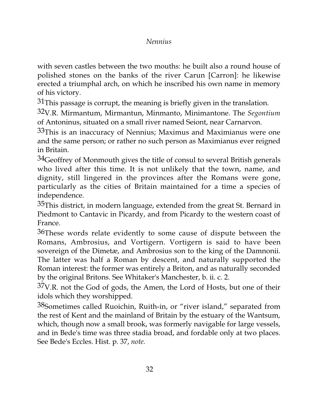with seven castles between the two mouths: he built also a round house of polished stones on the banks of the river Carun [Carron]: he likewise erected a triumphal arch, on which he inscribed his own name in memory of his victory.

 $31$ This passage is corrupt, the meaning is briefly given in the translation.

32V.R. Mirmantum, Mirmantun, Minmanto, Minimantone. The *Segontium* of Antoninus, situated on a small river named Seiont, near Carnarvon.

33This is an inaccuracy of Nennius; Maximus and Maximianus were one and the same person; or rather no such person as Maximianus ever reigned in Britain.

 $34$ Geoffrey of Monmouth gives the title of consul to several British generals who lived after this time. It is not unlikely that the town, name, and dignity, still lingered in the provinces after the Romans were gone, particularly as the cities of Britain maintained for a time a species of independence.

 $35$ This district, in modern language, extended from the great St. Bernard in Piedmont to Cantavic in Picardy, and from Picardy to the western coast of France.

36These words relate evidently to some cause of dispute between the Romans, Ambrosius, and Vortigern. Vortigern is said to have been sovereign of the Dimetæ, and Ambrosius son to the king of the Damnonii. The latter was half a Roman by descent, and naturally supported the Roman interest: the former was entirely a Briton, and as naturally seconded by the original Britons. See Whitaker's Manchester, b. ii. c. 2.

 $37V.R.$  not the God of gods, the Amen, the Lord of Hosts, but one of their idols which they worshipped.

38Sometimes called Ruoichin, Ruith-in, or "river island," separated from the rest of Kent and the mainland of Britain by the estuary of the Wantsum, which, though now a small brook, was formerly navigable for large vessels, and in Bede's time was three stadia broad, and fordable only at two places. See Bede's Eccles. Hist. p. 37, *note.*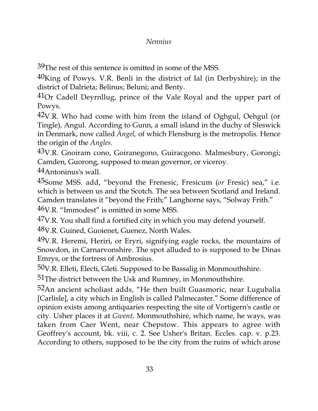39The rest of this sentence is omitted in some of the MSS.

40King of Powys. V.R. Benli in the district of Ial (in Derbyshire); in the district of Dalrieta; Belinus; Beluni; and Benty.

41Or Cadell Deyrnllug, prince of the Vale Royal and the upper part of Powys.

42V.R. Who had come with him from the island of Oghgul, Oehgul (or Tingle), Angul. According to Gunn, a small island in the duchy of Sleswick in Denmark, now called *Angel,* of which Flensburg is the metropolis. Hence the origin of the *Angles.*

43V.R. Gnoiram cono, Goiranegono, Guiracgono. Malmesbury, Gorongi; Camden, Guorong, supposed to mean governor, or viceroy.

44Antoninus's wall.

45Some MSS. add, "beyond the Frenesic, Fresicum (*or* Fresic) sea," i.e. which is between us and the Scotch. The sea between Scotland and Ireland. Camden translates it "beyond the Frith;" Langhorne says, "Solway Frith."

46V.R. "Immodest" is omitted in some MSS.

47V.R. You shall find a fortified city in which you may defend yourself.

48V.R. Guined, Guoienet, Guenez, North Wales.

49V.R. Heremi, Heriri, or Eryri, signifying eagle rocks, the mountains of Snowdon, in Carnarvonshire. The spot alluded to is supposed to be Dinas Emrys, or the fortress of Ambrosius.

50V.R. Elleti, Electi, Gleti. Supposed to be Bassalig in Monmouthshire.

51The district between the Usk and Rumney, in Monmouthshire.

 $52$ An ancient scholiast adds, "He then built Guasmoric, near Lugubalia [Carlisle], a city which in English is called Palmecaster." Some difference of opinion exists among antiquaries respecting the site of Vortigern's castle or city. Usher places it at *Gwent,* Monmouthshire, which name, he ways, was taken from Caer Went, near Chepstow. This appears to agree with Geoffrey's account, bk. viii, c. 2. See Usher's Britan. Eccles. cap. v. p.23. According to others, supposed to be the city from the ruins of which arose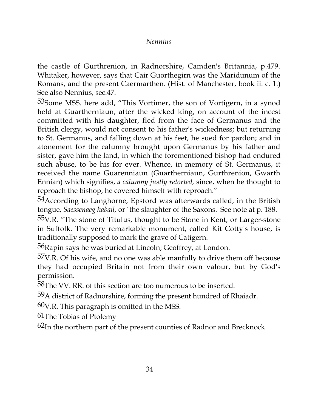the castle of Gurthrenion, in Radnorshire, Camden's Britannia, p.479. Whitaker, however, says that Cair Guorthegirn was the Maridunum of the Romans, and the present Caermarthen. (Hist. of Manchester, book ii. c. 1.) See also Nennius, sec.47.

53Some MSS. here add, "This Vortimer, the son of Vortigern, in a synod held at Guartherniaun, after the wicked king, on account of the incest committed with his daughter, fled from the face of Germanus and the British clergy, would not consent to his father's wickedness; but returning to St. Germanus, and falling down at his feet, he sued for pardon; and in atonement for the calumny brought upon Germanus by his father and sister, gave him the land, in which the forementioned bishop had endured such abuse, to be his for ever. Whence, in memory of St. Germanus, it received the name Guarenniaun (Guartherniaun, Gurthrenion, Gwarth Ennian) which signifies, *a calumny justly retorted,* since, when he thought to reproach the bishop, he covered himself with reproach."

54 According to Langhorne, Epsford was afterwards called, in the British tongue, *Saessenaeg habail,* or `the slaughter of the Saxons.' See note at p. 188.

 $55V.R.$  "The stone of Titulus, thought to be Stone in Kent, or Larger-stone in Suffolk. The very remarkable monument, called Kit Cotty's house, is traditionally supposed to mark the grave of Catigern.

56Rapin says he was buried at Lincoln; Geoffrey, at London.

 $57V.R.$  Of his wife, and no one was able manfully to drive them off because they had occupied Britain not from their own valour, but by God's permission.

58The VV. RR. of this section are too numerous to be inserted.

59A district of Radnorshire, forming the present hundred of Rhaiadr.

60V.R. This paragraph is omitted in the MSS.

61The Tobias of Ptolemy

62In the northern part of the present counties of Radnor and Brecknock.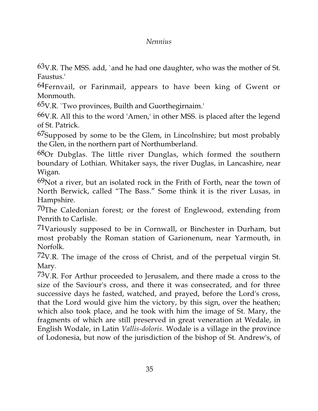$63V.R.$  The MSS. add, `and he had one daughter, who was the mother of St. Faustus.'

64Fernvail, or Farinmail, appears to have been king of Gwent or Monmouth.

65V.R. `Two provinces, Builth and Guorthegirnaim.'

66V.R. All this to the word 'Amen,' in other MSS. is placed after the legend of St. Patrick.

<sup>67</sup>Supposed by some to be the Glem, in Lincolnshire; but most probably the Glen, in the northern part of Northumberland.

 $68$ Or Dubglas. The little river Dunglas, which formed the southern boundary of Lothian. Whitaker says, the river Duglas, in Lancashire, near Wigan.

 $69$ Not a river, but an isolated rock in the Frith of Forth, near the town of North Berwick, called "The Bass." Some think it is the river Lusas, in Hampshire.

 $70$ The Caledonian forest; or the forest of Englewood, extending from Penrith to Carlisle.

71Variously supposed to be in Cornwall, or Binchester in Durham, but most probably the Roman station of Garionenum, near Yarmouth, in Norfolk.

72V.R. The image of the cross of Christ, and of the perpetual virgin St. Mary.

73V.R. For Arthur proceeded to Jerusalem, and there made a cross to the size of the Saviour's cross, and there it was consecrated, and for three successive days he fasted, watched, and prayed, before the Lord's cross, that the Lord would give him the victory, by this sign, over the heathen; which also took place, and he took with him the image of St. Mary, the fragments of which are still preserved in great veneration at Wedale, in English Wodale, in Latin *Vallis-doloris.* Wodale is a village in the province of Lodonesia, but now of the jurisdiction of the bishop of St. Andrew's, of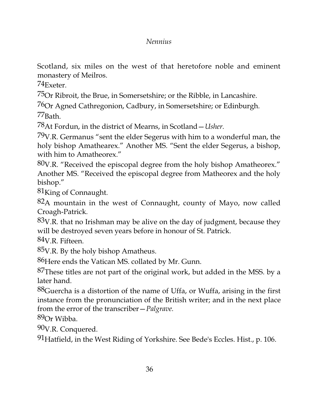Scotland, six miles on the west of that heretofore noble and eminent monastery of Meilros.

74Exeter.

75Or Ribroit, the Brue, in Somersetshire; or the Ribble, in Lancashire.

76Or Agned Cathregonion, Cadbury, in Somersetshire; or Edinburgh.

77Bath.

78At Fordun, in the district of Mearns, in Scotland—*Usher.*

79V.R. Germanus "sent the elder Segerus with him to a wonderful man, the holy bishop Amathearex." Another MS. "Sent the elder Segerus, a bishop, with him to Amatheorex."

80V.R. "Received the episcopal degree from the holy bishop Amatheorex." Another MS. "Received the episcopal degree from Matheorex and the holy bishop."

81<sub>King</sub> of Connaught.

82A mountain in the west of Connaught, county of Mayo, now called Croagh-Patrick.

 $83V.R.$  that no Irishman may be alive on the day of judgment, because they will be destroyed seven years before in honour of St. Patrick.

84V.R. Fifteen.

85V.R. By the holy bishop Amatheus.

86 Here ends the Vatican MS. collated by Mr. Gunn.

87These titles are not part of the original work, but added in the MSS. by a later hand.

88Guercha is a distortion of the name of Uffa, or Wuffa, arising in the first instance from the pronunciation of the British writer; and in the next place from the error of the transcriber—*Palgrave.*

89Or Wibba.

90V.R. Conquered.

91Hatfield, in the West Riding of Yorkshire. See Bede's Eccles. Hist., p. 106.